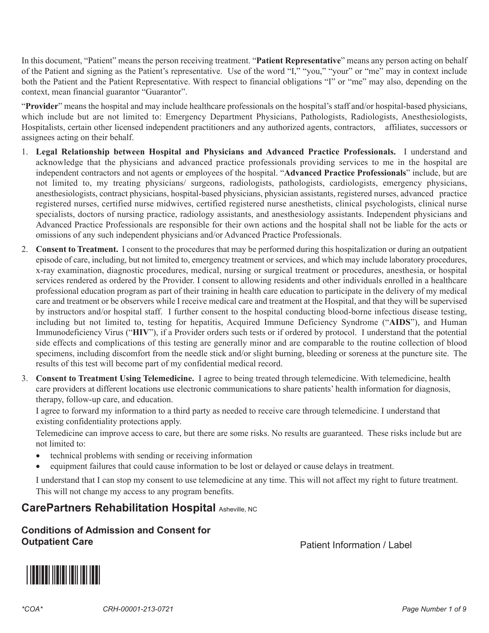In this document, "Patient" means the person receiving treatment. "**Patient Representative**" means any person acting on behalf of the Patient and signing as the Patient's representative. Use of the word "I," "you," "your" or "me" may in context include both the Patient and the Patient Representative. With respect to financial obligations "I" or "me" may also, depending on the context, mean financial guarantor "Guarantor".

"**Provider**" means the hospital and may include healthcare professionals on the hospital's staff and/or hospital-based physicians, which include but are not limited to: Emergency Department Physicians, Pathologists, Radiologists, Anesthesiologists, Hospitalists, certain other licensed independent practitioners and any authorized agents, contractors, affiliates, successors or assignees acting on their behalf.

- acknowledge that the physicians and advanced practice professionals providing services to me in the hospital are 1. **Legal Relationship between Hospital and Physicians and Advanced Practice Professionals.** I understand and independent contractors and not agents or employees of the hospital. "Advanced Practice Professionals" include, but are not limited to, my treating physicians/ surgeons, radiologists, pathologists, cardiologists, emergency physicians, anesthesiologists, contract physicians, hospital-based physicians, physician assistants, registered nurses, advanced practice registered nurses, certified nurse midwives, certified registered nurse anesthetists, clinical psychologists, clinical nurse specialists, doctors of nursing practice, radiology assistants, and anesthesiology assistants. Independent physicians and Advanced Practice Professionals are responsible for their own actions and the hospital shall not be liable for the acts or omissions of any such independent physicians and/or Advanced Practice Professionals.
- 2. **Consent to Treatment.** I consent to the procedures that may be performed during this hospitalization or during an outpatient episode of care, including, but not limited to, emergency treatment or services, and which may include laboratory procedures, x-ray examination, diagnostic procedures, medical, nursing or surgical treatment or procedures, anesthesia, or hospital services rendered as ordered by the Provider. I consent to allowing residents and other individuals enrolled in a healthcare professional education program as part of their training in health care education to participate in the delivery of my medical care and treatment or be observers while I receive medical care and treatment at the Hospital, and that they will be supervised by instructors and/or hospital staff. I further consent to the hospital conducting blood-borne infectious disease testing, including but not limited to, testing for hepatitis, Acquired Immune Deficiency Syndrome ("**AIDS**"), and Human Immunodeficiency Virus ("**HIV**"), if a Provider orders such tests or if ordered by protocol. I understand that the potential side effects and complications of this testing are generally minor and are comparable to the routine collection of blood specimens, including discomfort from the needle stick and/or slight burning, bleeding or soreness at the puncture site. The results of this test will become part of my confidential medical record.
- 3. **Consent to Treatment Using Telemedicine.** I agree to being treated through telemedicine. With telemedicine, health care providers at different locations use electronic communications to share patients' health information for diagnosis, therapy, follow-up care, and education.

I agree to forward my information to a third party as needed to receive care through telemedicine. I understand that existing confidentiality protections apply.

Telemedicine can improve access to care, but there are some risks. No results are guaranteed. These risks include but are not limited to:

- technical problems with sending or receiving information
- · equipment failures that could cause information to be lost or delayed or cause delays in treatment.

 This will not change my access to any program benefits. I understand that I can stop my consent to use telemedicine at any time. This will not affect my right to future treatment.

### **CarePartners Rehabilitation Hospital Asheville, NC**

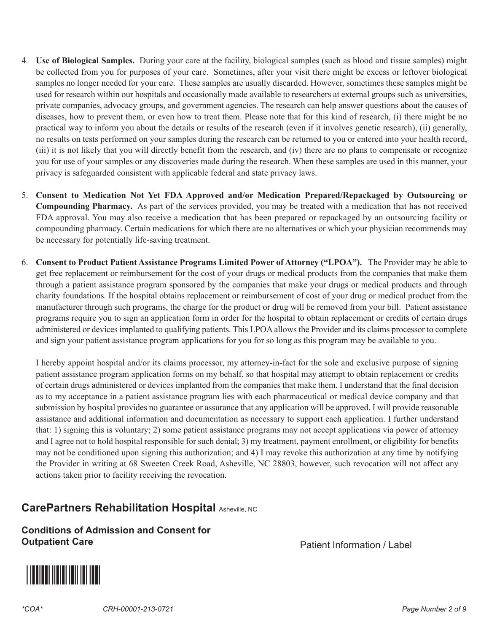- 4. **Use of Biological Samples.** During your care at the facility, biological samples (such as blood and tissue samples) might be collected from you for purposes of your care. Sometimes, after your visit there might be excess or leftover biological samples no longer needed for your care. These samples are usually discarded. However, sometimes these samples might be used for research within our hospitals and occasionally made available to researchers at external groups such as universities, private companies, advocacy groups, and government agencies. The research can help answer questions about the causes of diseases, how to prevent them, or even how to treat them. Please note that for this kind of research, (i) there might be no practical way to inform you about the details or results of the research (even if it involves genetic research), (ii) generally, no results on tests performed on your samples during the research can be returned to you or entered into your health record, (iii) it is not likely that you will directly benefit from the research, and (iv) there are no plans to compensate or recognize you for use of your samples or any discoveries made during the research. When these samples are used in this manner, your privacy is safeguarded consistent with applicable federal and state privacy laws.
- **Compounding Pharmacy.** As part of the services provided, you may be treated with a medication that has not received 5. **Consent to Medication Not Yet FDA Approved and/or Medication Prepared/Repackaged by Outsourcing or**  FDA approval. You may also receive a medication that has been prepared or repackaged by an outsourcing facility or compounding pharmacy. Certain medications for which there are no alternatives or which your physician recommends may be necessary for potentially life-saving treatment.
- 6. **Consent to Product Patient Assistance Programs Limited Power of Attorney ("LPOA").** The Provider may be able to get free replacement or reimbursement for the cost of your drugs or medical products from the companies that make them through a patient assistance program sponsored by the companies that make your drugs or medical products and through charity foundations. If the hospital obtains replacement or reimbursement of cost of your drug or medical product from the manufacturer through such programs, the charge for the product or drug will be removed from your bill. Patient assistance programs require you to sign an application form in order for the hospital to obtain replacement or credits of certain drugs administered or devices implanted to qualifying patients. This LPOA allows the Provider and its claims processor to complete and sign your patient assistance program applications for you for so long as this program may be available to you.

I hereby appoint hospital and/or its claims processor, my attorney-in-fact for the sole and exclusive purpose of signing patient assistance program application forms on my behalf, so that hospital may attempt to obtain replacement or credits of certain drugs administered or devices implanted from the companies that make them. I understand that the final decision as to my acceptance in a patient assistance program lies with each pharmaceutical or medical device company and that submission by hospital provides no guarantee or assurance that any application will be approved. I will provide reasonable assistance and additional information and documentation as necessary to support each application. I further understand that: 1) signing this is voluntary; 2) some patient assistance programs may not accept applications via power of attorney and I agree not to hold hospital responsible for such denial; 3) my treatment, payment enrollment, or eligibility for benefits may not be conditioned upon signing this authorization; and 4) I may revoke this authorization at any time by notifying the Provider in writing at 68 Sweeten Creek Road, Asheville, NC 28803, however, such revocation will not affect any actions taken prior to facility receiving the revocation.

# **CarePartners Rehabilitation Hospital Asheville, NC**

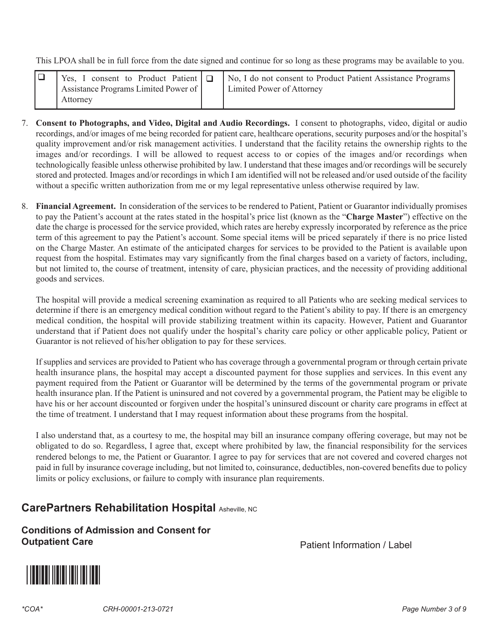This LPOA shall be in full force from the date signed and continue for so long as these programs may be available to you.

|                                      |  | Yes, I consent to Product Patient $\boxed{a}$ No, I do not consent to Product Patient Assistance Programs |  |
|--------------------------------------|--|-----------------------------------------------------------------------------------------------------------|--|
| Assistance Programs Limited Power of |  | Limited Power of Attorney                                                                                 |  |
| Attorney                             |  |                                                                                                           |  |

- 7. **Consent to Photographs, and Video, Digital and Audio Recordings.** I consent to photographs, video, digital or audio recordings, and/or images of me being recorded for patient care, healthcare operations, security purposes and/or the hospital's quality improvement and/or risk management activities. I understand that the facility retains the ownership rights to the images and/or recordings. I will be allowed to request access to or copies of the images and/or recordings when technologically feasible unless otherwise prohibited by law. I understand that these images and/or recordings will be securely stored and protected. Images and/or recordings in which I am identified will not be released and/or used outside of the facility without a specific written authorization from me or my legal representative unless otherwise required by law.
- 8. **Financial Agreement.** In consideration of the services to be rendered to Patient, Patient or Guarantor individually promises to pay the Patient's account at the rates stated in the hospital's price list (known as the "**Charge Master**") effective on the date the charge is processed for the service provided, which rates are hereby expressly incorporated by reference as the price term of this agreement to pay the Patient's account. Some special items will be priced separately if there is no price listed on the Charge Master. An estimate of the anticipated charges for services to be provided to the Patient is available upon request from the hospital. Estimates may vary significantly from the final charges based on a variety of factors, including, but not limited to, the course of treatment, intensity of care, physician practices, and the necessity of providing additional goods and services.

The hospital will provide a medical screening examination as required to all Patients who are seeking medical services to determine if there is an emergency medical condition without regard to the Patient's ability to pay. If there is an emergency medical condition, the hospital will provide stabilizing treatment within its capacity. However, Patient and Guarantor understand that if Patient does not qualify under the hospital's charity care policy or other applicable policy, Patient or Guarantor is not relieved of his/her obligation to pay for these services.

If supplies and services are provided to Patient who has coverage through a governmental program or through certain private health insurance plans, the hospital may accept a discounted payment for those supplies and services. In this event any payment required from the Patient or Guarantor will be determined by the terms of the governmental program or private health insurance plan. If the Patient is uninsured and not covered by a governmental program, the Patient may be eligible to have his or her account discounted or forgiven under the hospital's uninsured discount or charity care programs in effect at the time of treatment. I understand that I may request information about these programs from the hospital.

I also understand that, as a courtesy to me, the hospital may bill an insurance company offering coverage, but may not be obligated to do so. Regardless, I agree that, except where prohibited by law, the financial responsibility for the services rendered belongs to me, the Patient or Guarantor. I agree to pay for services that are not covered and covered charges not paid in full by insurance coverage including, but not limited to, coinsurance, deductibles, non-covered benefits due to policy limits or policy exclusions, or failure to comply with insurance plan requirements.

# **CarePartners Rehabilitation Hospital Asheville, NC**

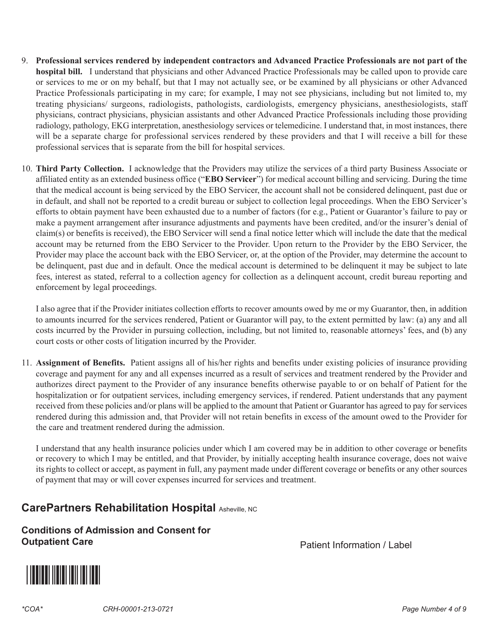- 9. **Professional services rendered by independent contractors and Advanced Practice Professionals are not part of the hospital bill.** I understand that physicians and other Advanced Practice Professionals may be called upon to provide care or services to me or on my behalf, but that I may not actually see, or be examined by all physicians or other Advanced Practice Professionals participating in my care; for example, I may not see physicians, including but not limited to, my treating physicians/ surgeons, radiologists, pathologists, cardiologists, emergency physicians, anesthesiologists, staff physicians, contract physicians, physician assistants and other Advanced Practice Professionals including those providing radiology, pathology, EKG interpretation, anesthesiology services or telemedicine. I understand that, in most instances, there will be a separate charge for professional services rendered by these providers and that I will receive a bill for these professional services that is separate from the bill for hospital services.
- 10. **Third Party Collection.** I acknowledge that the Providers may utilize the services of a third party Business Associate or affiliated entity as an extended business office ("**EBO Servicer**") for medical account billing and servicing. During the time that the medical account is being serviced by the EBO Servicer, the account shall not be considered delinquent, past due or in default, and shall not be reported to a credit bureau or subject to collection legal proceedings. When the EBO Servicer's efforts to obtain payment have been exhausted due to a number of factors (for e.g., Patient or Guarantor's failure to pay or make a payment arrangement after insurance adjustments and payments have been credited, and/or the insurer's denial of claim(s) or benefits is received), the EBO Servicer will send a final notice letter which will include the date that the medical account may be returned from the EBO Servicer to the Provider. Upon return to the Provider by the EBO Servicer, the Provider may place the account back with the EBO Servicer, or, at the option of the Provider, may determine the account to be delinquent, past due and in default. Once the medical account is determined to be delinquent it may be subject to late fees, interest as stated, referral to a collection agency for collection as a delinquent account, credit bureau reporting and enforcement by legal proceedings.

I also agree that if the Provider initiates collection efforts to recover amounts owed by me or my Guarantor, then, in addition to amounts incurred for the services rendered, Patient or Guarantor will pay, to the extent permitted by law: (a) any and all costs incurred by the Provider in pursuing collection, including, but not limited to, reasonable attorneys' fees, and (b) any court costs or other costs of litigation incurred by the Provider.

11. **Assignment of Benefits.** Patient assigns all of his/her rights and benefits under existing policies of insurance providing coverage and payment for any and all expenses incurred as a result of services and treatment rendered by the Provider and authorizes direct payment to the Provider of any insurance benefits otherwise payable to or on behalf of Patient for the hospitalization or for outpatient services, including emergency services, if rendered. Patient understands that any payment received from these policies and/or plans will be applied to the amount that Patient or Guarantor has agreed to pay for services rendered during this admission and, that Provider will not retain benefits in excess of the amount owed to the Provider for the care and treatment rendered during the admission.

I understand that any health insurance policies under which I am covered may be in addition to other coverage or benefits or recovery to which I may be entitled, and that Provider, by initially accepting health insurance coverage, does not waive its rights to collect or accept, as payment in full, any payment made under different coverage or benefits or any other sources of payment that may or will cover expenses incurred for services and treatment.

# **CarePartners Rehabilitation Hospital Asheville, NC**

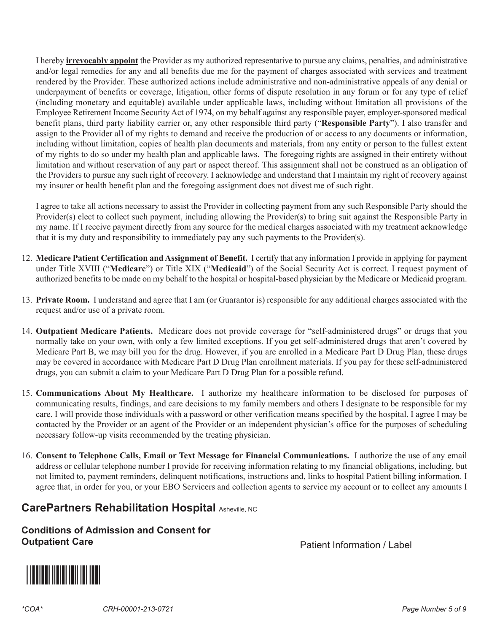I hereby **irrevocably appoint** the Provider as my authorized representative to pursue any claims, penalties, and administrative and/or legal remedies for any and all benefits due me for the payment of charges associated with services and treatment rendered by the Provider. These authorized actions include administrative and non-administrative appeals of any denial or underpayment of benefits or coverage, litigation, other forms of dispute resolution in any forum or for any type of relief (including monetary and equitable) available under applicable laws, including without limitation all provisions of the Employee Retirement Income Security Act of 1974, on my behalf against any responsible payer, employer-sponsored medical benefit plans, third party liability carrier or, any other responsible third party ("**Responsible Party**"). I also transfer and assign to the Provider all of my rights to demand and receive the production of or access to any documents or information, including without limitation, copies of health plan documents and materials, from any entity or person to the fullest extent of my rights to do so under my health plan and applicable laws. The foregoing rights are assigned in their entirety without limitation and without reservation of any part or aspect thereof. This assignment shall not be construed as an obligation of the Providers to pursue any such right of recovery. I acknowledge and understand that I maintain my right of recovery against my insurer or health benefit plan and the foregoing assignment does not divest me of such right.

I agree to take all actions necessary to assist the Provider in collecting payment from any such Responsible Party should the Provider(s) elect to collect such payment, including allowing the Provider(s) to bring suit against the Responsible Party in my name. If I receive payment directly from any source for the medical charges associated with my treatment acknowledge that it is my duty and responsibility to immediately pay any such payments to the Provider(s).

- 12. **Medicare Patient Certification and Assignment of Benefit.** I certify that any information I provide in applying for payment under Title XVIII ("**Medicare**") or Title XIX ("**Medicaid**") of the Social Security Act is correct. I request payment of authorized benefits to be made on my behalf to the hospital or hospital-based physician by the Medicare or Medicaid program.
- 13. **Private Room.** I understand and agree that I am (or Guarantor is) responsible for any additional charges associated with the request and/or use of a private room.
- 14. **Outpatient Medicare Patients.** Medicare does not provide coverage for "self-administered drugs" or drugs that you normally take on your own, with only a few limited exceptions. If you get self-administered drugs that aren't covered by Medicare Part B, we may bill you for the drug. However, if you are enrolled in a Medicare Part D Drug Plan, these drugs may be covered in accordance with Medicare Part D Drug Plan enrollment materials. If you pay for these self-administered drugs, you can submit a claim to your Medicare Part D Drug Plan for a possible refund.
- 15. **Communications About My Healthcare.** I authorize my healthcare information to be disclosed for purposes of communicating results, findings, and care decisions to my family members and others I designate to be responsible for my care. I will provide those individuals with a password or other verification means specified by the hospital. I agree I may be contacted by the Provider or an agent of the Provider or an independent physician's office for the purposes of scheduling necessary follow-up visits recommended by the treating physician.
- 16. **Consent to Telephone Calls, Email or Text Message for Financial Communications.** I authorize the use of any email address or cellular telephone number I provide for receiving information relating to my financial obligations, including, but not limited to, payment reminders, delinquent notifications, instructions and, links to hospital Patient billing information. I agree that, in order for you, or your EBO Servicers and collection agents to service my account or to collect any amounts I

### **CarePartners Rehabilitation Hospital Asheville, NC**

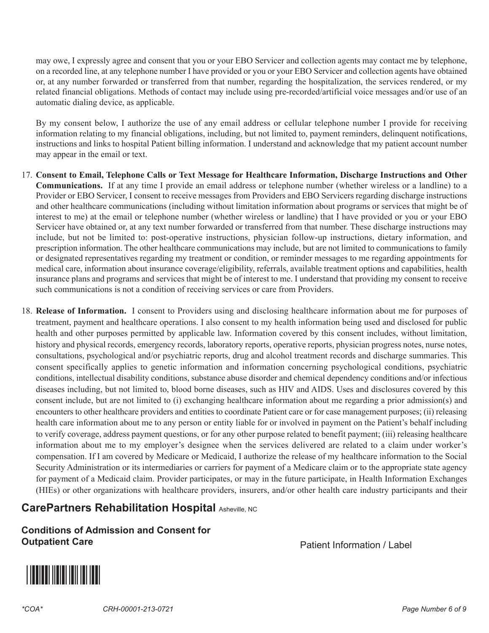may owe, I expressly agree and consent that you or your EBO Servicer and collection agents may contact me by telephone, on a recorded line, at any telephone number I have provided or you or your EBO Servicer and collection agents have obtained or, at any number forwarded or transferred from that number, regarding the hospitalization, the services rendered, or my related financial obligations. Methods of contact may include using pre-recorded/artificial voice messages and/or use of an automatic dialing device, as applicable.

By my consent below, I authorize the use of any email address or cellular telephone number I provide for receiving information relating to my financial obligations, including, but not limited to, payment reminders, delinquent notifications, instructions and links to hospital Patient billing information. I understand and acknowledge that my patient account number may appear in the email or text.

- 17. **Consent to Email, Telephone Calls or Text Message for Healthcare Information, Discharge Instructions and Other Communications.** If at any time I provide an email address or telephone number (whether wireless or a landline) to a Provider or EBO Servicer, I consent to receive messages from Providers and EBO Servicers regarding discharge instructions and other healthcare communications (including without limitation information about programs or services that might be of interest to me) at the email or telephone number (whether wireless or landline) that I have provided or you or your EBO Servicer have obtained or, at any text number forwarded or transferred from that number. These discharge instructions may include, but not be limited to: post-operative instructions, physician follow-up instructions, dietary information, and prescription information. The other healthcare communications may include, but are not limited to communications to family or designated representatives regarding my treatment or condition, or reminder messages to me regarding appointments for medical care, information about insurance coverage/eligibility, referrals, available treatment options and capabilities, health insurance plans and programs and services that might be of interest to me. I understand that providing my consent to receive such communications is not a condition of receiving services or care from Providers.
- 18. **Release of Information.** I consent to Providers using and disclosing healthcare information about me for purposes of treatment, payment and healthcare operations. I also consent to my health information being used and disclosed for public health and other purposes permitted by applicable law. Information covered by this consent includes, without limitation, history and physical records, emergency records, laboratory reports, operative reports, physician progress notes, nurse notes, consultations, psychological and/or psychiatric reports, drug and alcohol treatment records and discharge summaries. This consent specifically applies to genetic information and information concerning psychological conditions, psychiatric conditions, intellectual disability conditions, substance abuse disorder and chemical dependency conditions and/or infectious diseases including, but not limited to, blood borne diseases, such as HIV and AIDS. Uses and disclosures covered by this consent include, but are not limited to (i) exchanging healthcare information about me regarding a prior admission(s) and encounters to other healthcare providers and entities to coordinate Patient care or for case management purposes; (ii) releasing health care information about me to any person or entity liable for or involved in payment on the Patient's behalf including to verify coverage, address payment questions, or for any other purpose related to benefit payment; (iii) releasing healthcare information about me to my employer's designee when the services delivered are related to a claim under worker's compensation. If I am covered by Medicare or Medicaid, I authorize the release of my healthcare information to the Social Security Administration or its intermediaries or carriers for payment of a Medicare claim or to the appropriate state agency for payment of a Medicaid claim. Provider participates, or may in the future participate, in Health Information Exchanges (HIEs) or other organizations with healthcare providers, insurers, and/or other health care industry participants and their

### **CarePartners Rehabilitation Hospital Asheville, NC**

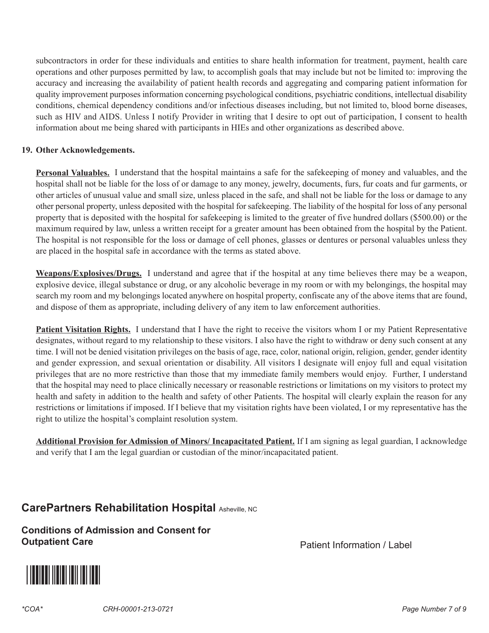subcontractors in order for these individuals and entities to share health information for treatment, payment, health care operations and other purposes permitted by law, to accomplish goals that may include but not be limited to: improving the accuracy and increasing the availability of patient health records and aggregating and comparing patient information for quality improvement purposes information concerning psychological conditions, psychiatric conditions, intellectual disability conditions, chemical dependency conditions and/or infectious diseases including, but not limited to, blood borne diseases, such as HIV and AIDS. Unless I notify Provider in writing that I desire to opt out of participation, I consent to health information about me being shared with participants in HIEs and other organizations as described above.

#### **19. Other Acknowledgements.**

**Personal Valuables.** I understand that the hospital maintains a safe for the safekeeping of money and valuables, and the hospital shall not be liable for the loss of or damage to any money, jewelry, documents, furs, fur coats and fur garments, or other articles of unusual value and small size, unless placed in the safe, and shall not be liable for the loss or damage to any other personal property, unless deposited with the hospital for safekeeping. The liability of the hospital for loss of any personal property that is deposited with the hospital for safekeeping is limited to the greater of five hundred dollars (\$500.00) or the maximum required by law, unless a written receipt for a greater amount has been obtained from the hospital by the Patient. The hospital is not responsible for the loss or damage of cell phones, glasses or dentures or personal valuables unless they are placed in the hospital safe in accordance with the terms as stated above.

**Weapons/Explosives/Drugs.** I understand and agree that if the hospital at any time believes there may be a weapon, explosive device, illegal substance or drug, or any alcoholic beverage in my room or with my belongings, the hospital may search my room and my belongings located anywhere on hospital property, confiscate any of the above items that are found, and dispose of them as appropriate, including delivery of any item to law enforcement authorities.

**Patient Visitation Rights.** I understand that I have the right to receive the visitors whom I or my Patient Representative designates, without regard to my relationship to these visitors. I also have the right to withdraw or deny such consent at any time. I will not be denied visitation privileges on the basis of age, race, color, national origin, religion, gender, gender identity and gender expression, and sexual orientation or disability. All visitors I designate will enjoy full and equal visitation privileges that are no more restrictive than those that my immediate family members would enjoy. Further, I understand that the hospital may need to place clinically necessary or reasonable restrictions or limitations on my visitors to protect my health and safety in addition to the health and safety of other Patients. The hospital will clearly explain the reason for any restrictions or limitations if imposed. If I believe that my visitation rights have been violated, I or my representative has the right to utilize the hospital's complaint resolution system.

**Additional Provision for Admission of Minors/ Incapacitated Patient.** If I am signing as legal guardian, I acknowledge and verify that I am the legal guardian or custodian of the minor/incapacitated patient.

### **CarePartners Rehabilitation Hospital Asheville, NC**

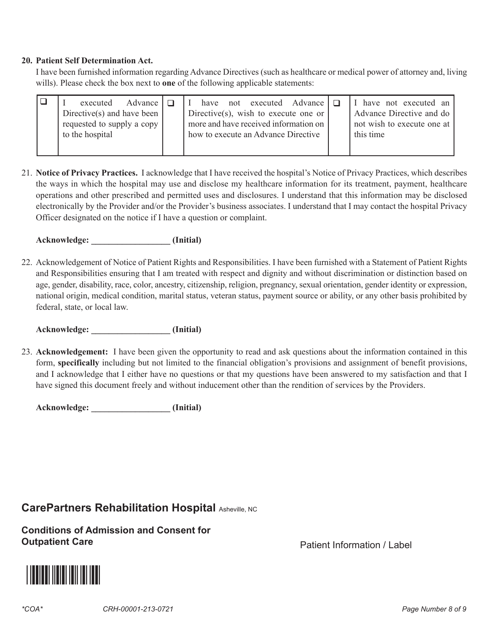#### **20. Patient Self Determination Act.**

I have been furnished information regarding Advance Directives (such as healthcare or medical power of attorney and, living wills). Please check the box next to **one** of the following applicable statements:

|  | Advance $\Box$<br>executed<br>Directive(s) and have been<br>requested to supply a copy<br>to the hospital |  | not executed Advance $\Box$<br>have<br>Directive(s), wish to execute one or<br>more and have received information on<br>how to execute an Advance Directive |  | I have not executed an<br>Advance Directive and do<br>not wish to execute one at<br>this time |
|--|-----------------------------------------------------------------------------------------------------------|--|-------------------------------------------------------------------------------------------------------------------------------------------------------------|--|-----------------------------------------------------------------------------------------------|
|--|-----------------------------------------------------------------------------------------------------------|--|-------------------------------------------------------------------------------------------------------------------------------------------------------------|--|-----------------------------------------------------------------------------------------------|

21. **Notice of Privacy Practices.** I acknowledge that I have received the hospital's Notice of Privacy Practices, which describes the ways in which the hospital may use and disclose my healthcare information for its treatment, payment, healthcare operations and other prescribed and permitted uses and disclosures. I understand that this information may be disclosed electronically by the Provider and/or the Provider's business associates. I understand that I may contact the hospital Privacy Officer designated on the notice if I have a question or complaint.

Acknowledge: **and all all a** (Initial)

22. Acknowledgement of Notice of Patient Rights and Responsibilities. I have been furnished with a Statement of Patient Rights and Responsibilities ensuring that I am treated with respect and dignity and without discrimination or distinction based on age, gender, disability, race, color, ancestry, citizenship, religion, pregnancy, sexual orientation, gender identity or expression, national origin, medical condition, marital status, veteran status, payment source or ability, or any other basis prohibited by federal, state, or local law.

**Acknowledge: \_\_\_\_\_\_\_\_\_\_\_\_\_\_\_\_\_\_ (Initial)** 

23. **Acknowledgement:** I have been given the opportunity to read and ask questions about the information contained in this form, **specifically** including but not limited to the financial obligation's provisions and assignment of benefit provisions, and I acknowledge that I either have no questions or that my questions have been answered to my satisfaction and that I have signed this document freely and without inducement other than the rendition of services by the Providers.

Acknowledge: **and all all a** (Initial)

### **CarePartners Rehabilitation Hospital Asheville, NC**